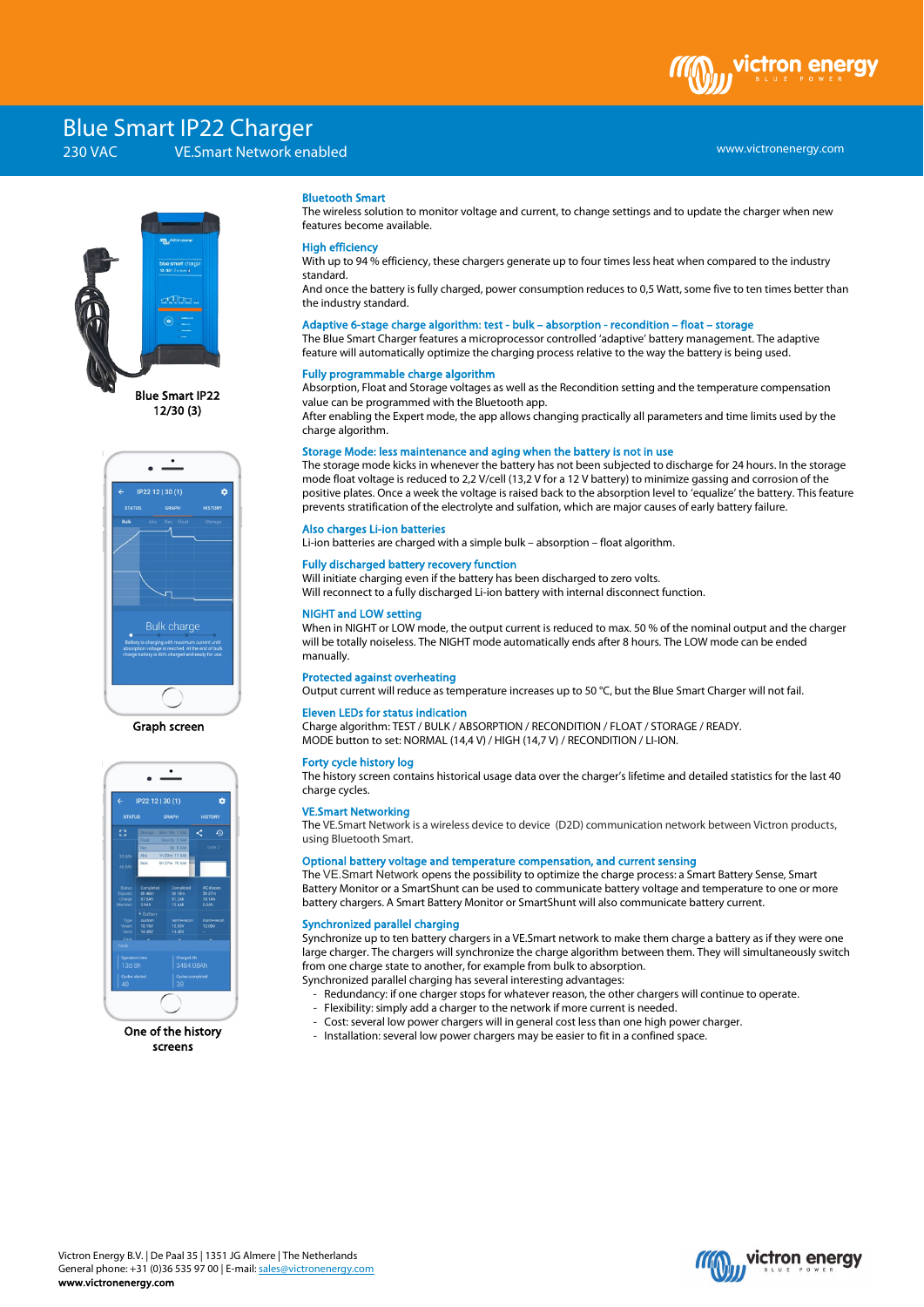# **Blue Smart IP22 Charger**<br>230 VAC VE Smart Network ena

VE.Smart Network enabled



Blue Smart IP22 12/30 (3)



Graph screen



One of the history screens

# Bluetooth Smart

The wireless solution to monitor voltage and current, to change settings and to update the charger when new features become available.

# High efficiency

With up to 94 % efficiency, these chargers generate up to four times less heat when compared to the industry standard.

And once the battery is fully charged, power consumption reduces to 0,5 Watt, some five to ten times better than the industry standard.

#### Adaptive 6-stage charge algorithm: test - bulk – absorption - recondition – float – storage

The Blue Smart Charger features a microprocessor controlled 'adaptive' battery management. The adaptive feature will automatically optimize the charging process relative to the way the battery is being used.

# Fully programmable charge algorithm

Absorption, Float and Storage voltages as well as the Recondition setting and the temperature compensation value can be programmed with the Bluetooth app.

After enabling the Expert mode, the app allows changing practically all parameters and time limits used by the charge algorithm.

## Storage Mode: less maintenance and aging when the battery is not in use

The storage mode kicks in whenever the battery has not been subjected to discharge for 24 hours. In the storage mode float voltage is reduced to 2,2 V/cell (13,2 V for a 12 V battery) to minimize gassing and corrosion of the positive plates. Once a week the voltage is raised back to the absorption level to 'equalize' the battery. This feature prevents stratification of the electrolyte and sulfation, which are major causes of early battery failure.

# Also charges Li-ion batteries

Li-ion batteries are charged with a simple bulk – absorption – float algorithm.

#### Fully discharged battery recovery function

Will initiate charging even if the battery has been discharged to zero volts. Will reconnect to a fully discharged Li-ion battery with internal disconnect function.

#### NIGHT and LOW setting

When in NIGHT or LOW mode, the output current is reduced to max. 50 % of the nominal output and the charger will be totally noiseless. The NIGHT mode automatically ends after 8 hours. The LOW mode can be ended manually.

#### Protected against overheating

Output current will reduce as temperature increases up to 50 °C, but the Blue Smart Charger will not fail.

#### Eleven LEDs for status indication

Charge algorithm: TEST / BULK / ABSORPTION / RECONDITION / FLOAT / STORAGE / READY. MODE button to set: NORMAL (14,4 V) / HIGH (14,7 V) / RECONDITION / LI-ION.

# Forty cycle history log

The history screen contains historical usage data over the charger's lifetime and detailed statistics for the last 40 charge cycles.

#### VE.Smart Networking

The VE.Smart Network is a wireless device to device (D2D) communication network between Victron products, using Bluetooth Smart.

### Optional battery voltage and temperature compensation, and current sensing

The VE.Smart Network opens the possibility to optimize the charge process: a Smart Battery Sense, Smart Battery Monitor or a SmartShunt can be used to communicate battery voltage and temperature to one or more battery chargers. A Smart Battery Monitor or SmartShunt will also communicate battery current.

# Synchronized parallel charging

Synchronize up to ten battery chargersin a VE.Smart network to make them charge a battery as if they were one large charger. The chargers will synchronize the charge algorithm between them. They will simultaneously switch from one charge state to another, for example from bulk to absorption.

- Synchronized parallel charging has several interesting advantages:
	- Redundancy: if one charger stops for whatever reason, the other chargers will continue to operate.
	- Flexibility: simply add a charger to the network if more current is needed.
		- Cost: several low power chargers will in general cost less than one high power charger.
	- Installation: several low power chargers may be easier to fit in a confined space.





ctron ene